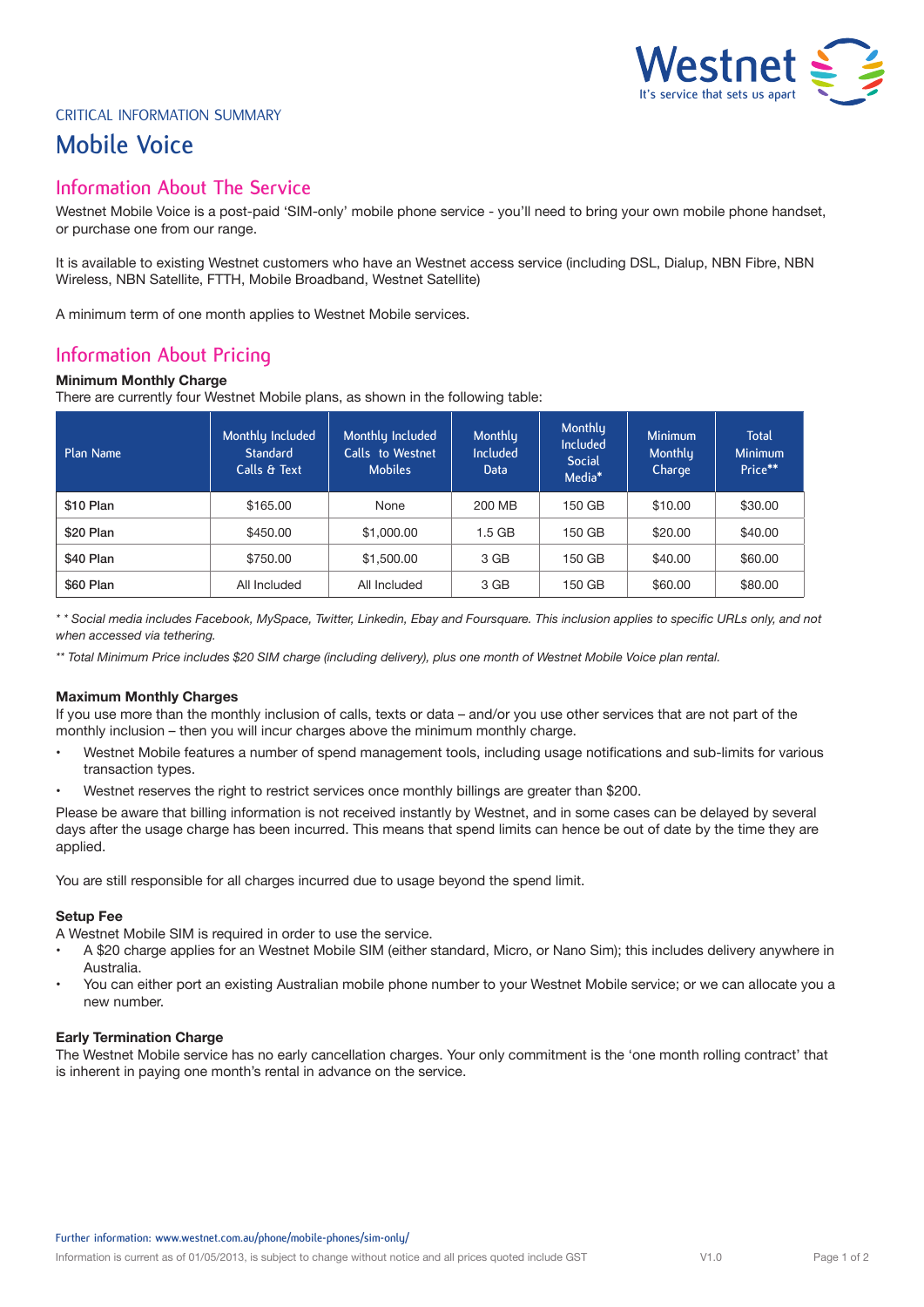# $\ell$ estnet  $\leq$  3 **It's service that sets us apart**

# CRITICAL INFORMATION SUMMARY

# **Mobile Voice**

# **Information About The Service**

Westnet Mobile Voice is a post-paid 'SIM-only' mobile phone service - you'll need to bring your own mobile phone handset, or purchase one from our range.

It is available to existing Westnet customers who have an Westnet access service (including DSL, Dialup, NBN Fibre, NBN Wireless, NBN Satellite, FTTH, Mobile Broadband, Westnet Satellite)

A minimum term of one month applies to Westnet Mobile services.

# **Information About Pricing**

## **Minimum Monthly Charge**

There are currently four Westnet Mobile plans, as shown in the following table:

| Plan Name | Monthly Included<br><b>Standard</b><br>Calls & Text | Monthly Included<br>Calls to Westnet<br><b>Mobiles</b> | Monthly<br><b>Included</b><br>Data | Monthly<br><b>Included</b><br><b>Social</b><br>Media* | <b>Minimum</b><br>Monthly<br>Charge | <b>Total</b><br><b>Minimum</b><br>Price** |
|-----------|-----------------------------------------------------|--------------------------------------------------------|------------------------------------|-------------------------------------------------------|-------------------------------------|-------------------------------------------|
| \$10 Plan | \$165.00                                            | None                                                   | 200 MB                             | 150 GB                                                | \$10.00                             | \$30.00                                   |
| \$20 Plan | \$450.00                                            | \$1,000.00                                             | $1.5$ GB                           | 150 GB                                                | \$20.00                             | \$40.00                                   |
| \$40 Plan | \$750.00                                            | \$1,500.00                                             | 3 GB                               | 150 GB                                                | \$40.00                             | \$60.00                                   |
| \$60 Plan | All Included                                        | All Included                                           | 3 GB                               | 150 GB                                                | \$60.00                             | \$80.00                                   |

*\* \* Social media includes Facebook, MySpace, Twitter, Linkedin, Ebay and Foursquare. This inclusion applies to specific URLs only, and not when accessed via tethering.* 

*\*\* Total Minimum Price includes \$20 SIM charge (including delivery), plus one month of Westnet Mobile Voice plan rental.* 

## **Maximum Monthly Charges**

If you use more than the monthly inclusion of calls, texts or data – and/or you use other services that are not part of the monthly inclusion – then you will incur charges above the minimum monthly charge.

- Westnet Mobile features a number of spend management tools, including usage notifications and sub-limits for various transaction types.
- Westnet reserves the right to restrict services once monthly billings are greater than \$200.

Please be aware that billing information is not received instantly by Westnet, and in some cases can be delayed by several days after the usage charge has been incurred. This means that spend limits can hence be out of date by the time they are applied.

You are still responsible for all charges incurred due to usage beyond the spend limit.

## **Setup Fee**

A Westnet Mobile SIM is required in order to use the service.

- A \$20 charge applies for an Westnet Mobile SIM (either standard, Micro, or Nano Sim); this includes delivery anywhere in Australia.
- You can either port an existing Australian mobile phone number to your Westnet Mobile service; or we can allocate you a new number.

## **Early Termination Charge**

The Westnet Mobile service has no early cancellation charges. Your only commitment is the 'one month rolling contract' that is inherent in paying one month's rental in advance on the service.